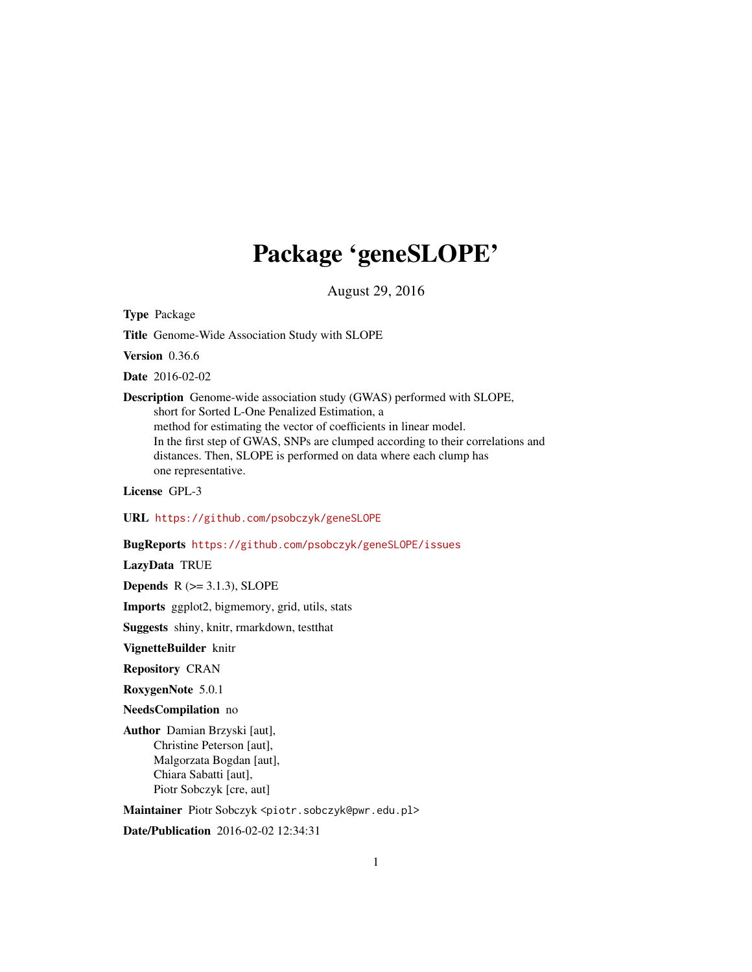# Package 'geneSLOPE'

August 29, 2016

<span id="page-0-0"></span>Type Package

Title Genome-Wide Association Study with SLOPE

Version 0.36.6

Date 2016-02-02

Description Genome-wide association study (GWAS) performed with SLOPE, short for Sorted L-One Penalized Estimation, a method for estimating the vector of coefficients in linear model. In the first step of GWAS, SNPs are clumped according to their correlations and distances. Then, SLOPE is performed on data where each clump has one representative.

License GPL-3

URL <https://github.com/psobczyk/geneSLOPE>

BugReports <https://github.com/psobczyk/geneSLOPE/issues>

LazyData TRUE

Depends  $R$  ( $>=$  3.1.3), SLOPE

Imports ggplot2, bigmemory, grid, utils, stats

Suggests shiny, knitr, rmarkdown, testthat

VignetteBuilder knitr

Repository CRAN

RoxygenNote 5.0.1

NeedsCompilation no

Author Damian Brzyski [aut], Christine Peterson [aut], Malgorzata Bogdan [aut], Chiara Sabatti [aut], Piotr Sobczyk [cre, aut]

Maintainer Piotr Sobczyk <piotr.sobczyk@pwr.edu.pl>

Date/Publication 2016-02-02 12:34:31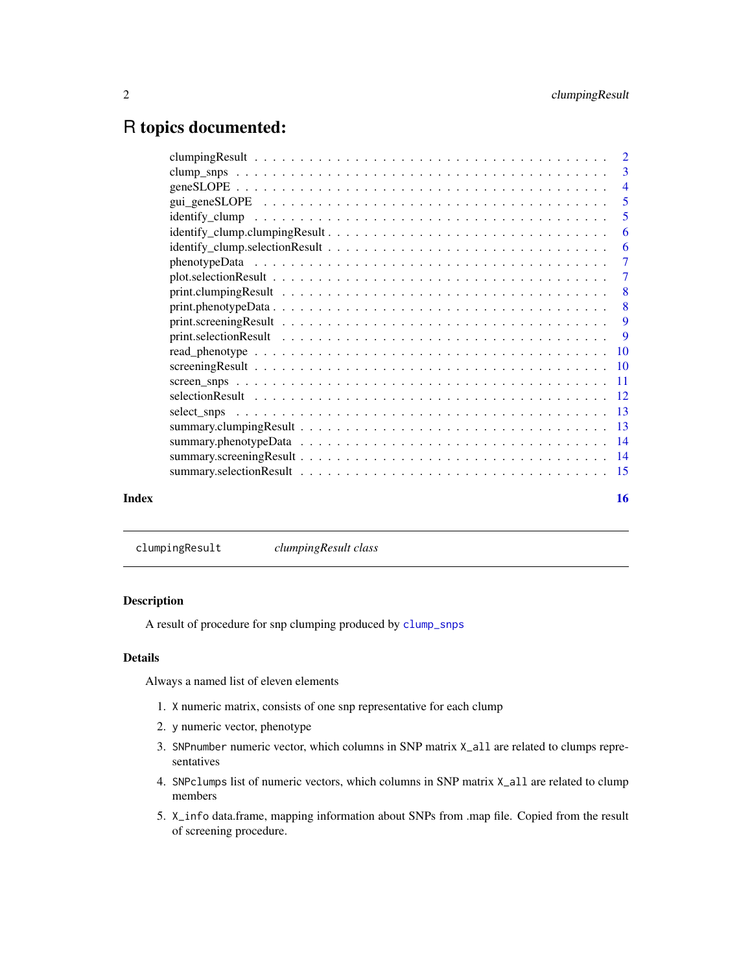# <span id="page-1-0"></span>R topics documented:

|       | -6 |
|-------|----|
|       | -6 |
|       |    |
|       |    |
|       |    |
|       |    |
|       |    |
|       |    |
|       |    |
|       |    |
|       |    |
|       |    |
|       |    |
|       |    |
|       |    |
|       |    |
|       |    |
| Index | 16 |

<span id="page-1-1"></span>clumpingResult *clumpingResult class*

# Description

A result of procedure for snp clumping produced by [clump\\_snps](#page-2-1)

# Details

Always a named list of eleven elements

- 1. X numeric matrix, consists of one snp representative for each clump
- 2. y numeric vector, phenotype
- 3. SNPnumber numeric vector, which columns in SNP matrix X\_all are related to clumps representatives
- 4. SNPclumps list of numeric vectors, which columns in SNP matrix X\_all are related to clump members
- 5. X\_info data.frame, mapping information about SNPs from .map file. Copied from the result of screening procedure.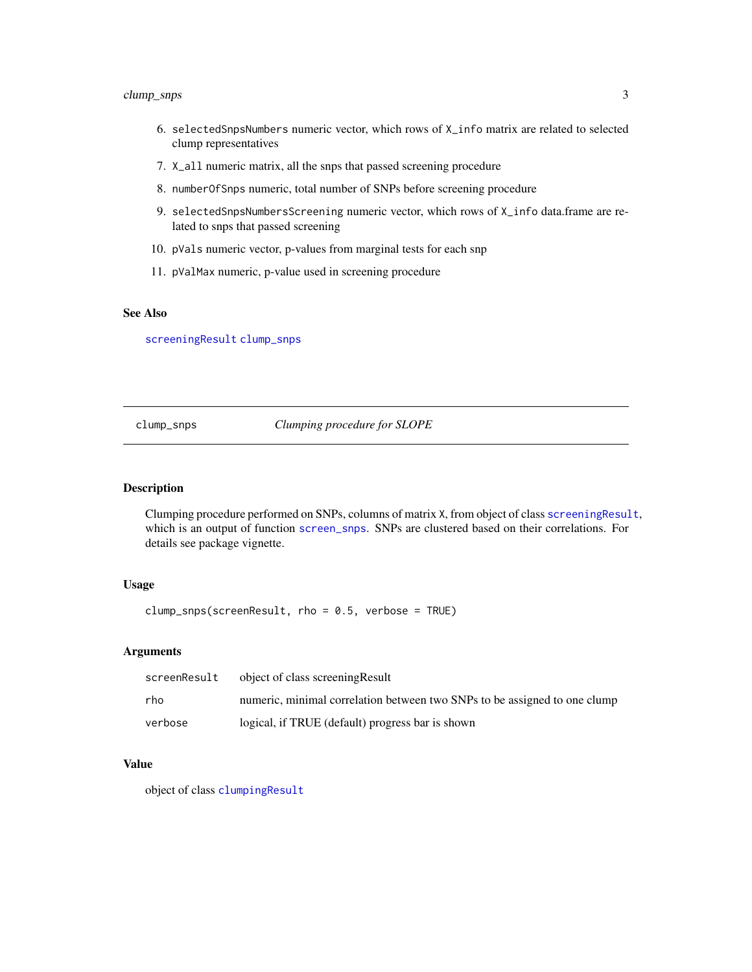# <span id="page-2-0"></span>clump\_snps 3

- 6. selectedSnpsNumbers numeric vector, which rows of X\_info matrix are related to selected clump representatives
- 7. X\_all numeric matrix, all the snps that passed screening procedure
- 8. numberOfSnps numeric, total number of SNPs before screening procedure
- 9. selectedSnpsNumbersScreening numeric vector, which rows of X\_info data.frame are related to snps that passed screening
- 10. pVals numeric vector, p-values from marginal tests for each snp
- 11. pValMax numeric, p-value used in screening procedure

#### See Also

[screeningResult](#page-9-1) [clump\\_snps](#page-2-1)

<span id="page-2-1"></span>clump\_snps *Clumping procedure for SLOPE*

#### Description

Clumping procedure performed on SNPs, columns of matrix X, from object of class [screeningResult](#page-9-1), which is an output of function [screen\\_snps](#page-10-1). SNPs are clustered based on their correlations. For details see package vignette.

#### Usage

clump\_snps(screenResult, rho = 0.5, verbose = TRUE)

#### **Arguments**

| screenResult | object of class screening Result                                          |
|--------------|---------------------------------------------------------------------------|
| rho          | numeric, minimal correlation between two SNPs to be assigned to one clump |
| verbose      | logical, if TRUE (default) progress bar is shown                          |

#### Value

object of class [clumpingResult](#page-1-1)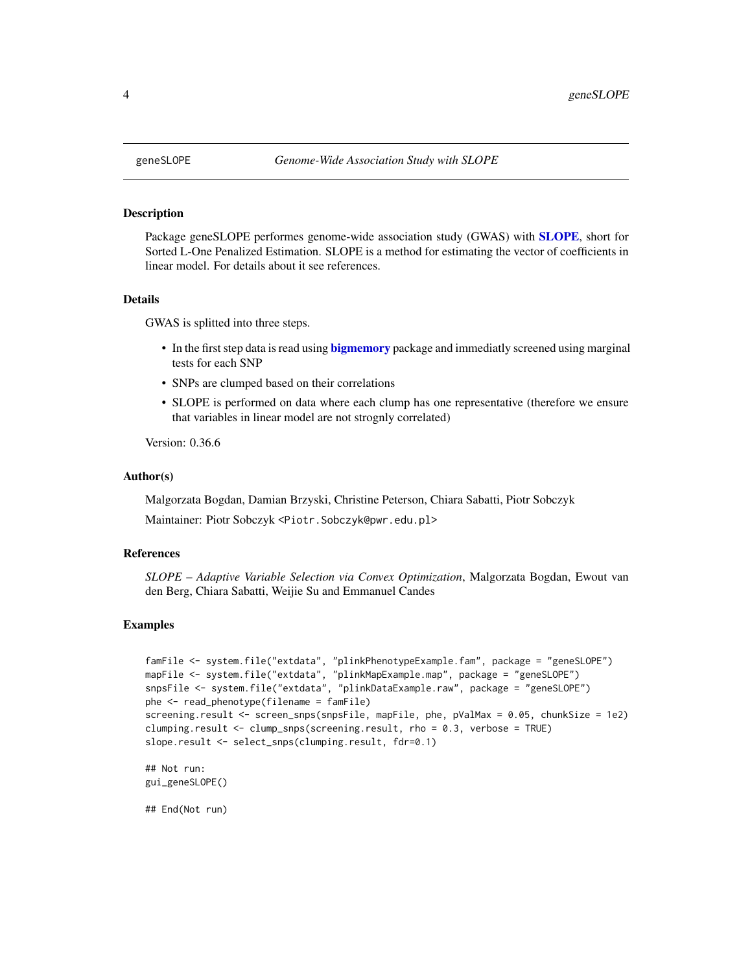Package geneSLOPE performes genome-wide association study (GWAS) with [SLOPE](#page-0-0), short for Sorted L-One Penalized Estimation. SLOPE is a method for estimating the vector of coefficients in linear model. For details about it see references.

#### Details

GWAS is splitted into three steps.

- In the first step data is read using **[bigmemory](#page-0-0)** package and immediatly screened using marginal tests for each SNP
- SNPs are clumped based on their correlations
- SLOPE is performed on data where each clump has one representative (therefore we ensure that variables in linear model are not strognly correlated)

Version: 0.36.6

#### Author(s)

Malgorzata Bogdan, Damian Brzyski, Christine Peterson, Chiara Sabatti, Piotr Sobczyk

Maintainer: Piotr Sobczyk <Piotr.Sobczyk@pwr.edu.pl>

#### References

*SLOPE – Adaptive Variable Selection via Convex Optimization*, Malgorzata Bogdan, Ewout van den Berg, Chiara Sabatti, Weijie Su and Emmanuel Candes

#### Examples

```
famFile <- system.file("extdata", "plinkPhenotypeExample.fam", package = "geneSLOPE")
mapFile <- system.file("extdata", "plinkMapExample.map", package = "geneSLOPE")
snpsFile <- system.file("extdata", "plinkDataExample.raw", package = "geneSLOPE")
phe <- read_phenotype(filename = famFile)
screening.result <- screen_snps(snpsFile, mapFile, phe, pValMax = 0.05, chunkSize = 1e2)
clumping.result <- clump_snps(screening.result, rho = 0.3, verbose = TRUE)
slope.result <- select_snps(clumping.result, fdr=0.1)
```

```
## Not run:
gui_geneSLOPE()
```
## End(Not run)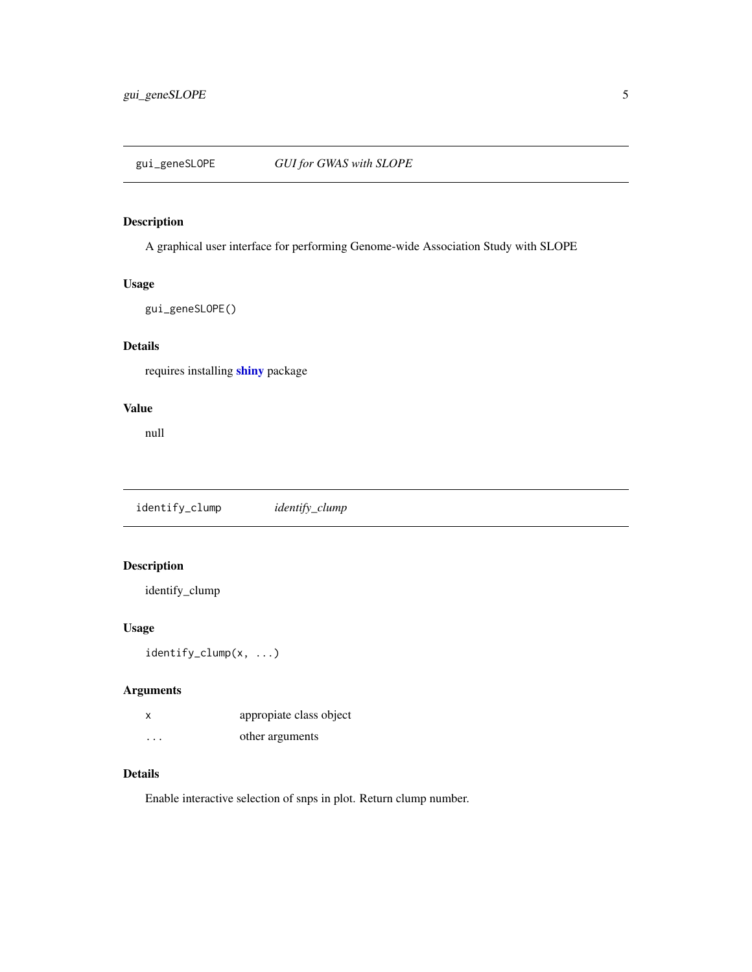<span id="page-4-0"></span>

A graphical user interface for performing Genome-wide Association Study with SLOPE

#### Usage

```
gui_geneSLOPE()
```
# Details

requires installing [shiny](#page-0-0) package

#### Value

null

identify\_clump *identify\_clump*

# Description

identify\_clump

# Usage

identify\_clump(x, ...)

# Arguments

|                      | appropiate class object |
|----------------------|-------------------------|
| $\ddot{\phantom{0}}$ | other arguments         |

#### Details

Enable interactive selection of snps in plot. Return clump number.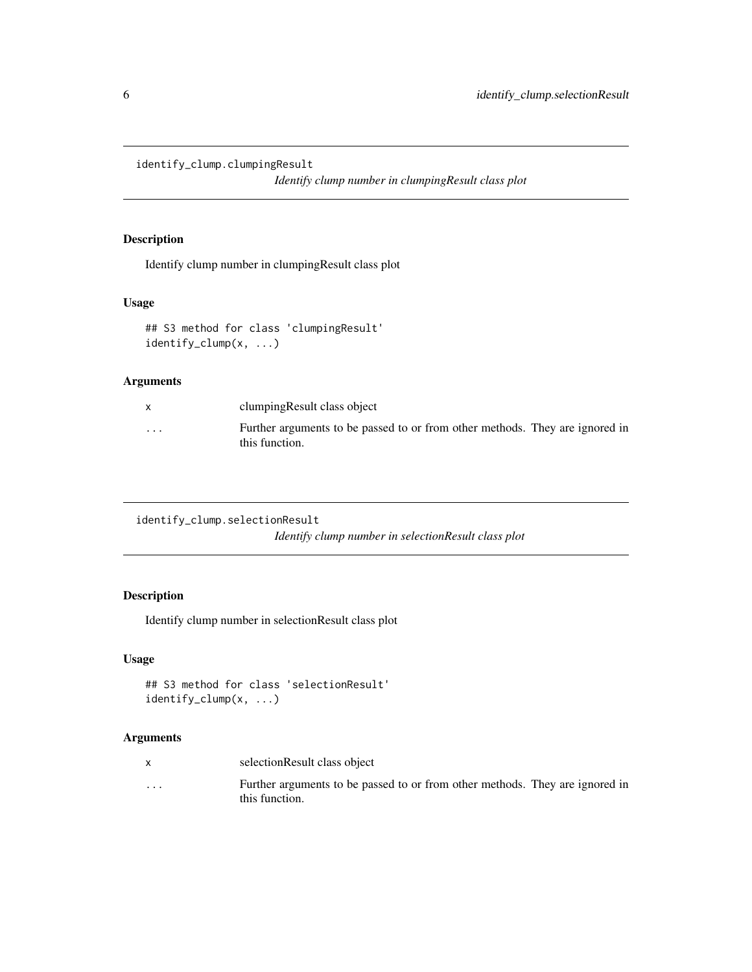<span id="page-5-0"></span>identify\_clump.clumpingResult

*Identify clump number in clumpingResult class plot*

# Description

Identify clump number in clumpingResult class plot

# Usage

```
## S3 method for class 'clumpingResult'
identify_clump(x, ...)
```
#### Arguments

|          | clumping Result class object                                                                   |
|----------|------------------------------------------------------------------------------------------------|
| $\cdots$ | Further arguments to be passed to or from other methods. They are ignored in<br>this function. |

```
identify_clump.selectionResult
```
*Identify clump number in selectionResult class plot*

# Description

Identify clump number in selectionResult class plot

#### Usage

```
## S3 method for class 'selectionResult'
identify_clump(x, ...)
```

|          | selectionResult class object                                                 |
|----------|------------------------------------------------------------------------------|
| $\cdots$ | Further arguments to be passed to or from other methods. They are ignored in |
|          | this function.                                                               |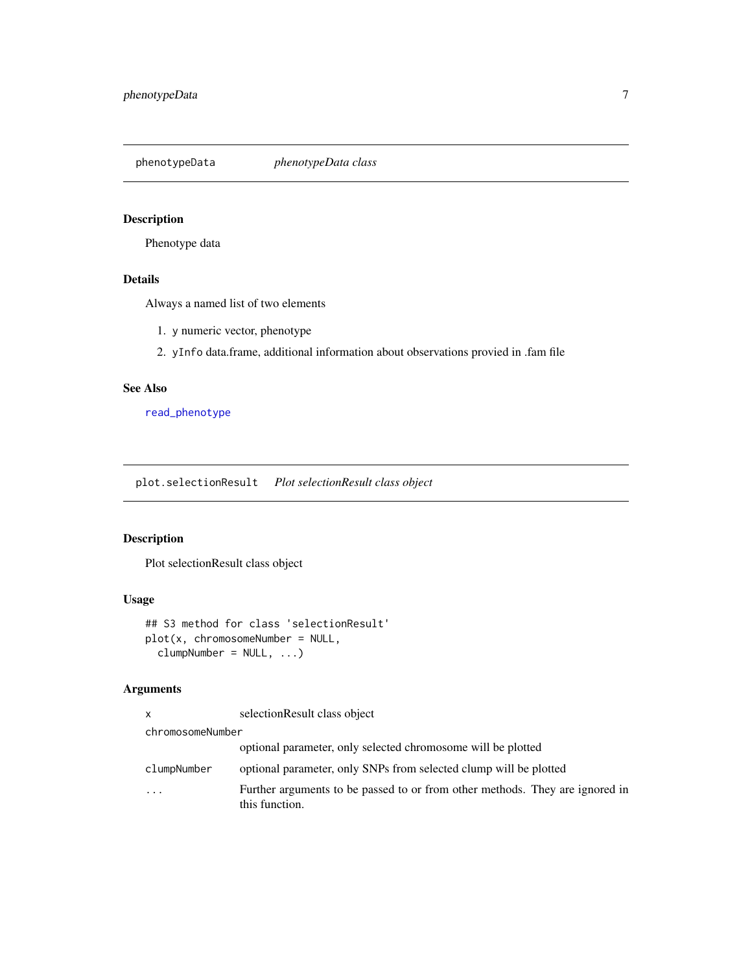<span id="page-6-1"></span><span id="page-6-0"></span>phenotypeData *phenotypeData class*

# Description

Phenotype data

#### Details

Always a named list of two elements

- 1. y numeric vector, phenotype
- 2. yInfo data.frame, additional information about observations provied in .fam file

#### See Also

[read\\_phenotype](#page-9-2)

plot.selectionResult *Plot selectionResult class object*

# Description

Plot selectionResult class object

# Usage

## S3 method for class 'selectionResult' plot(x, chromosomeNumber = NULL, clumpNumber = NULL, ...)

| X                | selectionResult class object                                                                   |
|------------------|------------------------------------------------------------------------------------------------|
| chromosomeNumber |                                                                                                |
|                  | optional parameter, only selected chromosome will be plotted                                   |
| clumpNumber      | optional parameter, only SNPs from selected clump will be plotted                              |
| $\ddotsc$        | Further arguments to be passed to or from other methods. They are ignored in<br>this function. |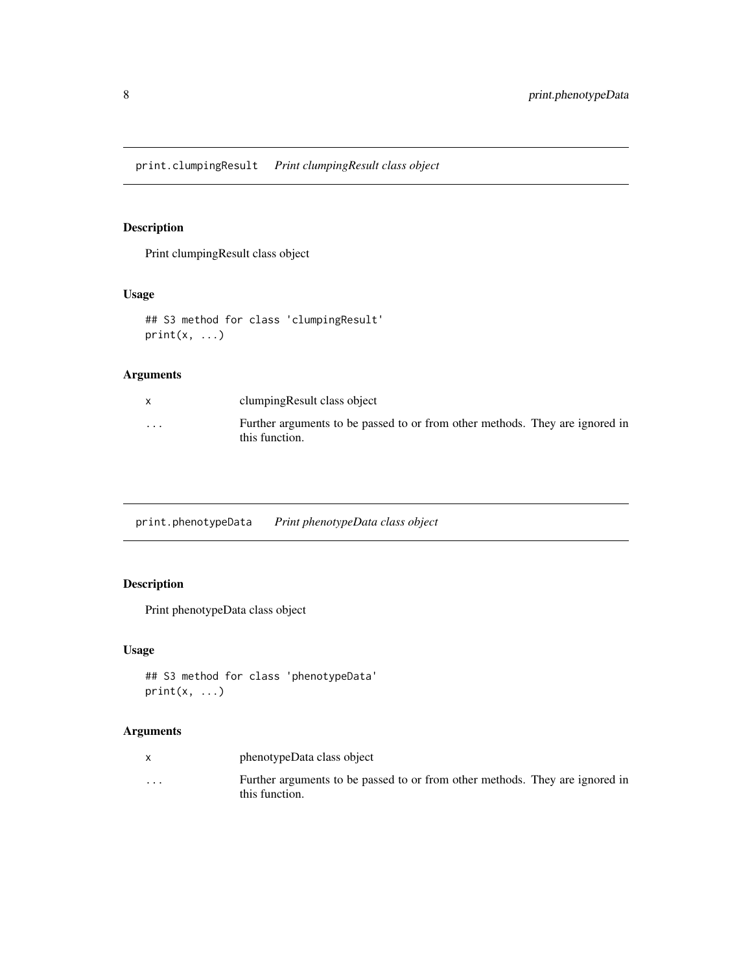<span id="page-7-0"></span>Print clumpingResult class object

# Usage

```
## S3 method for class 'clumpingResult'
print(x, \ldots)
```
# Arguments

|          | clumping Result class object                                                                   |
|----------|------------------------------------------------------------------------------------------------|
| $\cdots$ | Further arguments to be passed to or from other methods. They are ignored in<br>this function. |

print.phenotypeData *Print phenotypeData class object*

# Description

Print phenotypeData class object

#### Usage

```
## S3 method for class 'phenotypeData'
print(x, \ldots)
```

|          | phenotypeData class object                                                                     |
|----------|------------------------------------------------------------------------------------------------|
| $\cdots$ | Further arguments to be passed to or from other methods. They are ignored in<br>this function. |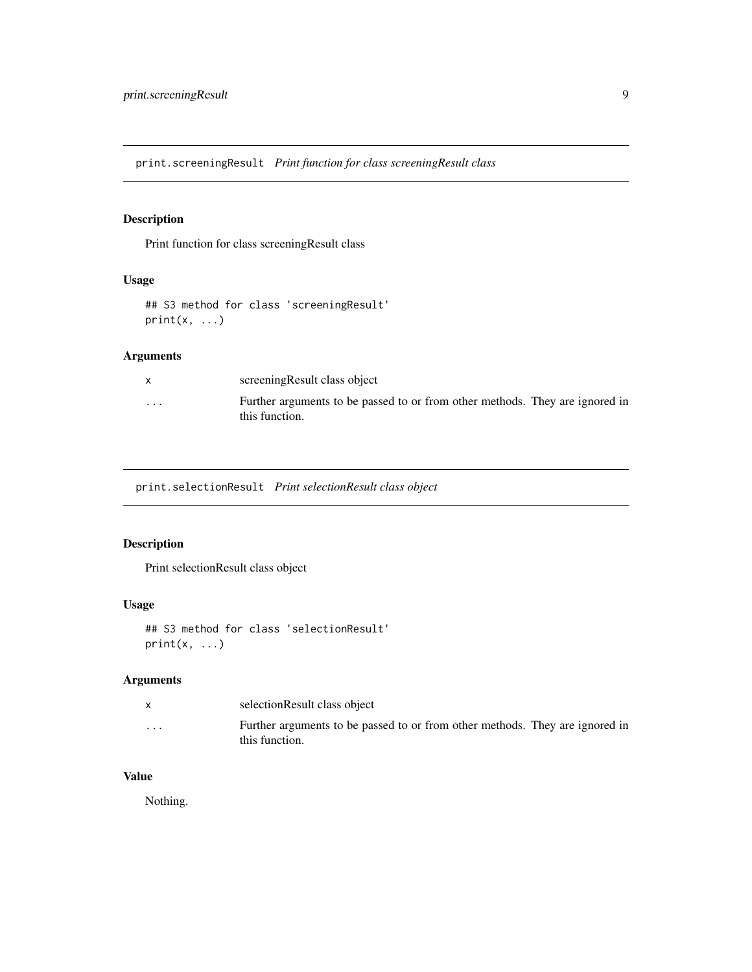<span id="page-8-0"></span>print.screeningResult *Print function for class screeningResult class*

# Description

Print function for class screeningResult class

# Usage

```
## S3 method for class 'screeningResult'
print(x, \ldots)
```
# Arguments

|          | screening Result class object                                                                  |
|----------|------------------------------------------------------------------------------------------------|
| $\cdots$ | Further arguments to be passed to or from other methods. They are ignored in<br>this function. |

print.selectionResult *Print selectionResult class object*

# Description

Print selectionResult class object

#### Usage

```
## S3 method for class 'selectionResult'
print(x, \ldots)
```
# Arguments

|          | selectionResult class object                                                                   |
|----------|------------------------------------------------------------------------------------------------|
| $\cdots$ | Further arguments to be passed to or from other methods. They are ignored in<br>this function. |

# Value

Nothing.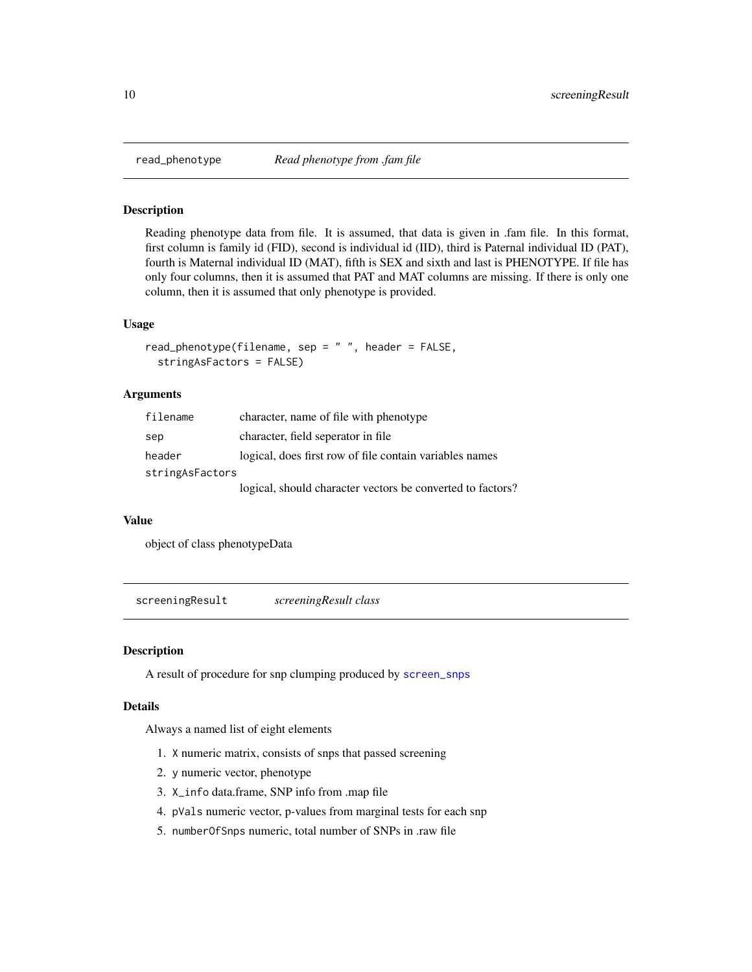<span id="page-9-2"></span><span id="page-9-0"></span>

Reading phenotype data from file. It is assumed, that data is given in .fam file. In this format, first column is family id (FID), second is individual id (IID), third is Paternal individual ID (PAT), fourth is Maternal individual ID (MAT), fifth is SEX and sixth and last is PHENOTYPE. If file has only four columns, then it is assumed that PAT and MAT columns are missing. If there is only one column, then it is assumed that only phenotype is provided.

#### Usage

```
read_phenotype(filename, sep = " ", header = FALSE,
  stringAsFactors = FALSE)
```
#### Arguments

| filename        | character, name of file with phenotype                     |
|-----------------|------------------------------------------------------------|
| sep             | character, field seperator in file                         |
| header          | logical, does first row of file contain variables names    |
| stringAsFactors |                                                            |
|                 | logical, should character vectors be converted to factors? |

#### Value

object of class phenotypeData

<span id="page-9-1"></span>screeningResult *screeningResult class*

#### Description

A result of procedure for snp clumping produced by [screen\\_snps](#page-10-1)

#### Details

Always a named list of eight elements

- 1. X numeric matrix, consists of snps that passed screening
- 2. y numeric vector, phenotype
- 3. X\_info data.frame, SNP info from .map file
- 4. pVals numeric vector, p-values from marginal tests for each snp
- 5. numberOfSnps numeric, total number of SNPs in .raw file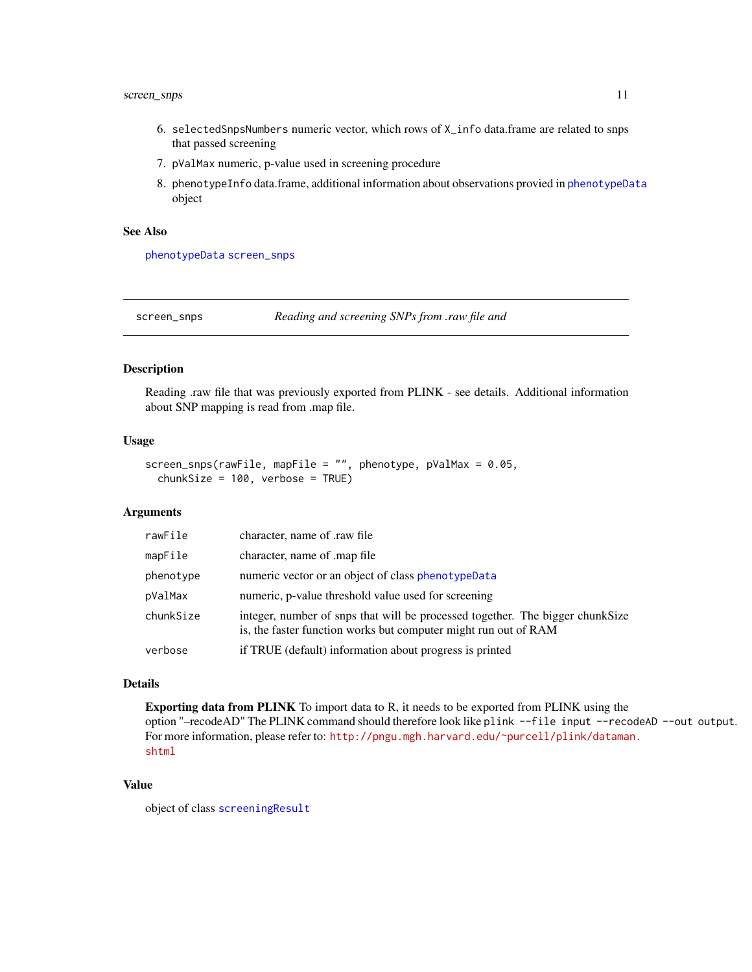# <span id="page-10-0"></span>screen\_snps 11

- 6. selectedSnpsNumbers numeric vector, which rows of X\_info data.frame are related to snps that passed screening
- 7. pValMax numeric, p-value used in screening procedure
- 8. phenotypeInfo data.frame, additional information about observations provied in [phenotypeData](#page-6-1) object

#### See Also

[phenotypeData](#page-6-1) [screen\\_snps](#page-10-1)

<span id="page-10-1"></span>screen\_snps *Reading and screening SNPs from .raw file and*

#### Description

Reading .raw file that was previously exported from PLINK - see details. Additional information about SNP mapping is read from .map file.

#### Usage

```
screen_snps(rawFile, mapFile = "", phenotype, pValMax = 0.05,
 chunkSize = 100, verbose = TRUE)
```
#### Arguments

| rawFile   | character, name of .raw file                                                                                                                     |
|-----------|--------------------------------------------------------------------------------------------------------------------------------------------------|
| mapFile   | character, name of map file                                                                                                                      |
| phenotype | numeric vector or an object of class phenotypeData                                                                                               |
| pValMax   | numeric, p-value threshold value used for screening                                                                                              |
| chunkSize | integer, number of snps that will be processed together. The bigger chunkSize<br>is, the faster function works but computer might run out of RAM |
| verbose   | if TRUE (default) information about progress is printed                                                                                          |

#### Details

Exporting data from PLINK To import data to R, it needs to be exported from PLINK using the option "–recodeAD" The PLINK command should therefore look like plink --file input --recodeAD --out output. For more information, please refer to: [http://pngu.mgh.harvard.edu/~purcell/plink/dataman](http://pngu.mgh.harvard.edu/~purcell/plink/dataman.shtml). [shtml](http://pngu.mgh.harvard.edu/~purcell/plink/dataman.shtml)

#### Value

object of class [screeningResult](#page-9-1)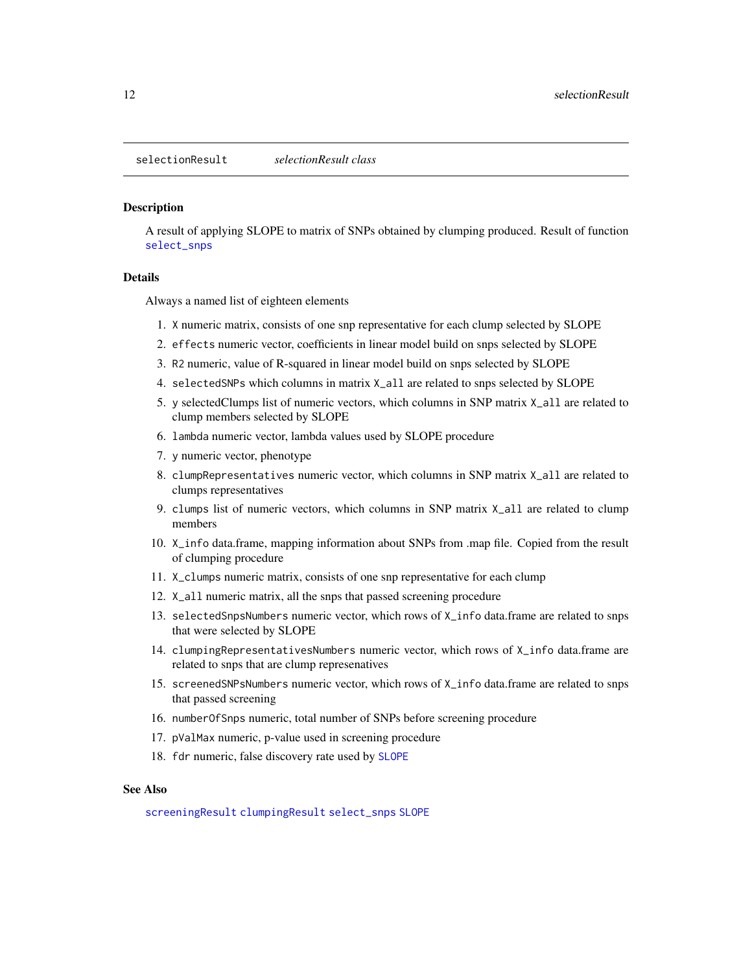<span id="page-11-1"></span><span id="page-11-0"></span>A result of applying SLOPE to matrix of SNPs obtained by clumping produced. Result of function [select\\_snps](#page-12-1)

#### Details

Always a named list of eighteen elements

- 1. X numeric matrix, consists of one snp representative for each clump selected by SLOPE
- 2. effects numeric vector, coefficients in linear model build on snps selected by SLOPE
- 3. R2 numeric, value of R-squared in linear model build on snps selected by SLOPE
- 4. selectedSNPs which columns in matrix X\_all are related to snps selected by SLOPE
- 5. y selectedClumps list of numeric vectors, which columns in SNP matrix X\_all are related to clump members selected by SLOPE
- 6. lambda numeric vector, lambda values used by SLOPE procedure
- 7. y numeric vector, phenotype
- 8. clumpRepresentatives numeric vector, which columns in SNP matrix X\_all are related to clumps representatives
- 9. clumps list of numeric vectors, which columns in SNP matrix X\_all are related to clump members
- 10. X\_info data.frame, mapping information about SNPs from .map file. Copied from the result of clumping procedure
- 11. X\_clumps numeric matrix, consists of one snp representative for each clump
- 12. X\_all numeric matrix, all the snps that passed screening procedure
- 13. selectedSnpsNumbers numeric vector, which rows of X\_info data.frame are related to snps that were selected by SLOPE
- 14. clumpingRepresentativesNumbers numeric vector, which rows of X\_info data.frame are related to snps that are clump represenatives
- 15. screenedSNPsNumbers numeric vector, which rows of X\_info data.frame are related to snps that passed screening
- 16. numberOfSnps numeric, total number of SNPs before screening procedure
- 17. pValMax numeric, p-value used in screening procedure
- 18. fdr numeric, false discovery rate used by [SLOPE](#page-0-0)

#### See Also

[screeningResult](#page-9-1) [clumpingResult](#page-1-1) [select\\_snps](#page-12-1) [SLOPE](#page-0-0)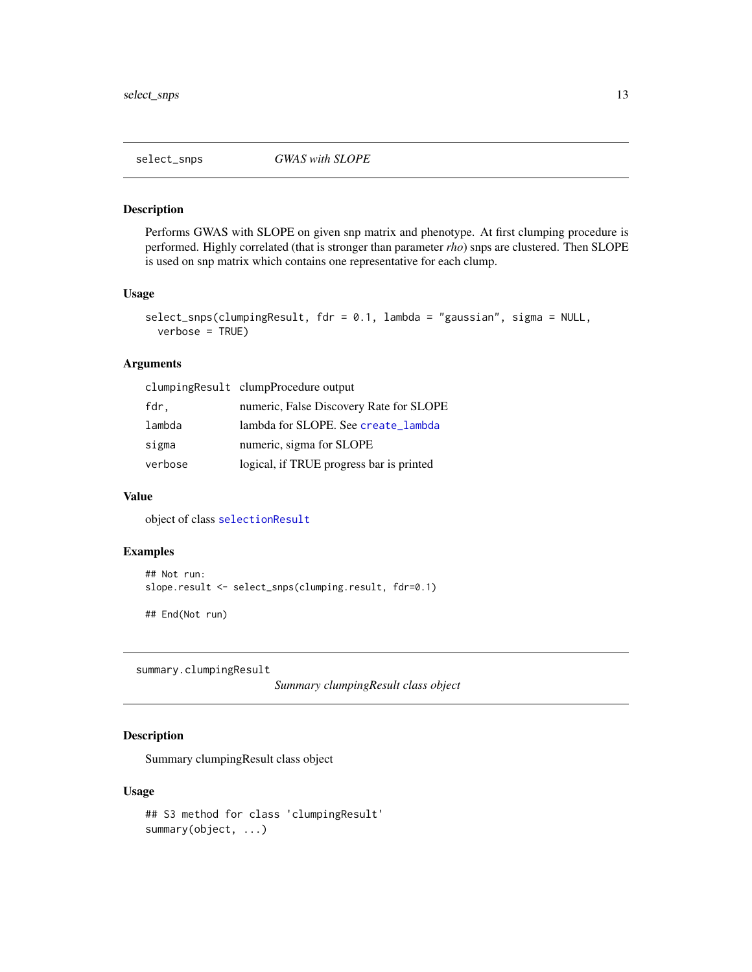<span id="page-12-1"></span><span id="page-12-0"></span>

Performs GWAS with SLOPE on given snp matrix and phenotype. At first clumping procedure is performed. Highly correlated (that is stronger than parameter *rho*) snps are clustered. Then SLOPE is used on snp matrix which contains one representative for each clump.

#### Usage

```
select_snps(clumpingResult, fdr = 0.1, lambda = "gaussian", sigma = NULL,
 verbose = TRUE)
```
# Arguments

|         | clumpingResult clumpProcedure output     |
|---------|------------------------------------------|
| fdr,    | numeric, False Discovery Rate for SLOPE  |
| lambda  | lambda for SLOPE. See create_lambda      |
| sigma   | numeric, sigma for SLOPE                 |
| verbose | logical, if TRUE progress bar is printed |

#### Value

object of class [selectionResult](#page-11-1)

# Examples

```
## Not run:
slope.result <- select_snps(clumping.result, fdr=0.1)
```
## End(Not run)

summary.clumpingResult

*Summary clumpingResult class object*

# Description

Summary clumpingResult class object

#### Usage

```
## S3 method for class 'clumpingResult'
summary(object, ...)
```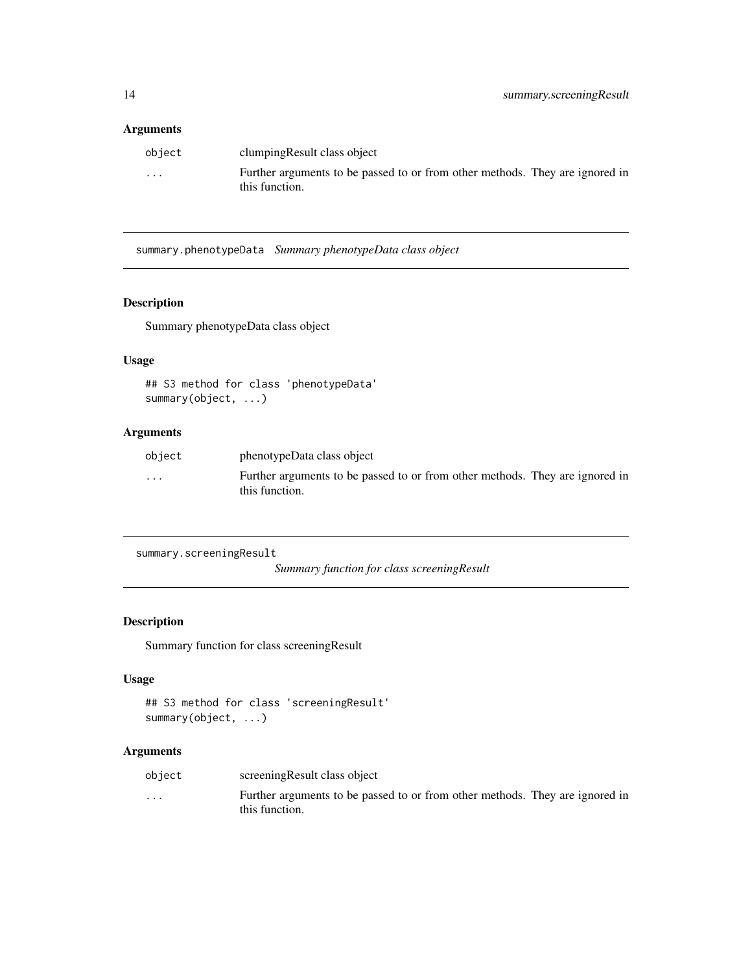#### <span id="page-13-0"></span>Arguments

| object   | clumping Result class object                                                                   |
|----------|------------------------------------------------------------------------------------------------|
| $\cdots$ | Further arguments to be passed to or from other methods. They are ignored in<br>this function. |

summary.phenotypeData *Summary phenotypeData class object*

# Description

Summary phenotypeData class object

#### Usage

```
## S3 method for class 'phenotypeData'
summary(object, ...)
```
# Arguments

| object  | phenotypeData class object                                                                     |
|---------|------------------------------------------------------------------------------------------------|
| $\cdot$ | Further arguments to be passed to or from other methods. They are ignored in<br>this function. |

```
summary.screeningResult
```
*Summary function for class screeningResult*

# Description

Summary function for class screeningResult

#### Usage

```
## S3 method for class 'screeningResult'
summary(object, ...)
```

| object   | screening Result class object                                                |
|----------|------------------------------------------------------------------------------|
| $\cdots$ | Further arguments to be passed to or from other methods. They are ignored in |
|          | this function.                                                               |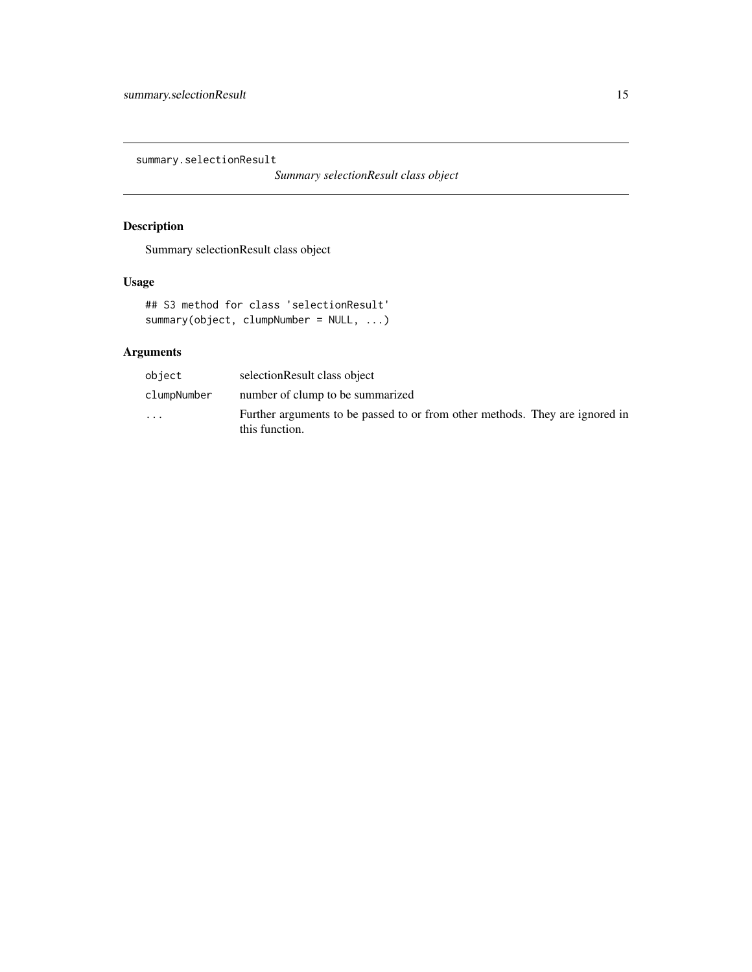<span id="page-14-0"></span>summary.selectionResult

*Summary selectionResult class object*

# Description

Summary selectionResult class object

# Usage

```
## S3 method for class 'selectionResult'
summary(object, clumpNumber = NULL, ...)
```

| object      | selectionResult class object                                                                   |
|-------------|------------------------------------------------------------------------------------------------|
| clumpNumber | number of clump to be summarized                                                               |
| $\cdots$    | Further arguments to be passed to or from other methods. They are ignored in<br>this function. |